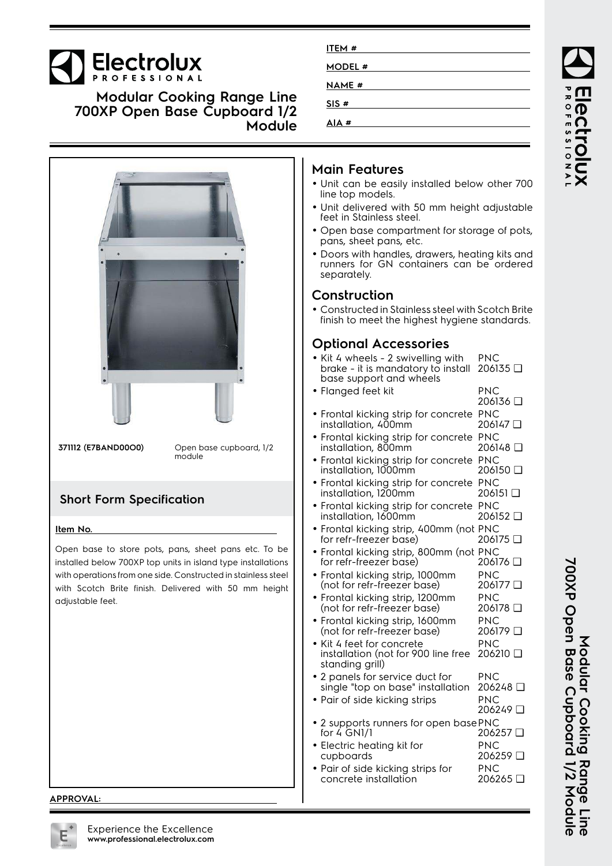## Electrolux

**Modular Cooking Range Line 700XP Open Base Cupboard 1/2 Module**



### **ITEM # MODEL # NAME # SIS # AIA #**

- Unit can be easily installed below other 700
- Unit delivered with 50 mm height adjustable feet in Stainless steel.
- Open base compartment for storage of pots, pans, sheet pans, etc.
- Doors with handles, drawers, heating kits and runners for GN containers can be ordered
- Constructed in Stainless steel with Scotch Brite finish to meet the highest hygiene standards.

#### **Optional Accessories**

| • Kit 4 wheels - 2 swivelling with<br>brake - it is mandatory to install<br>base support and wheels | PNC<br>206135 □        |
|-----------------------------------------------------------------------------------------------------|------------------------|
| · Flanged feet kit                                                                                  | <b>PNC</b>             |
|                                                                                                     | 206136 □               |
| • Frontal kicking strip for concrete                                                                | <b>PNC</b>             |
| installation, 400mm                                                                                 | 206147 □               |
| • Frontal kicking strip for concrete<br>installation, 800mm                                         | <b>PNC</b><br>206148 □ |
|                                                                                                     | <b>PNC</b>             |
| • Frontal kicking strip for concrete<br>installation, 1000mm                                        | 206150 □               |
| · Frontal kicking strip for concrete PNC                                                            |                        |
| installation, 1200mm                                                                                | 206151 □               |
| · Frontal kicking strip for concrete PNC                                                            |                        |
| installation, 1600mm                                                                                | 206152 □               |
| · Frontal kicking strip, 400mm (not PNC                                                             |                        |
| for refr-freezer base)                                                                              | 206175 口               |
| • Frontal kicking strip, 800mm (not PNC<br>for refr-freezer base)                                   | 206176 □               |
|                                                                                                     | PNC                    |
| · Frontal kicking strip, 1000mm<br>(not for refr-freezer base)                                      | 206177 口               |
| · Frontal kicking strip, 1200mm                                                                     | <b>PNC</b>             |
| (not for refr-freezer base)                                                                         | 206178 □               |
| • Frontal kicking strip, 1600mm                                                                     | <b>PNC</b>             |
| (not for refr-freezer base)                                                                         | 206179 □               |
| · Kit 4 feet for concrete                                                                           | <b>PNC</b>             |
| installation (not for 900 line free<br>standing grill)                                              | 206210 □               |
| • 2 panels for service duct for                                                                     | <b>PNC</b>             |
| single "top on base" installation                                                                   | 206248 □               |
| • Pair of side kicking strips                                                                       | <b>PNC</b>             |
|                                                                                                     | 206249 □               |
| • 2 supports runners for open basePNC<br>for 4 GN1/1                                                | 206257                 |
| • Electric heating kit for                                                                          | <b>PNC</b>             |
| cupboards                                                                                           | 206259 □               |
| • Pair of side kicking strips for                                                                   | <b>PNC</b>             |
| concrete installation                                                                               | 206265 □               |

# PROFESSIONA JOOI

**APPROVAL:**



Nodular Cooking Range Line<br>700XP Open Base Cupboard 1/2 Module **700XP Open Base Cupboard 1/2 Module Modular Cooking Range Line**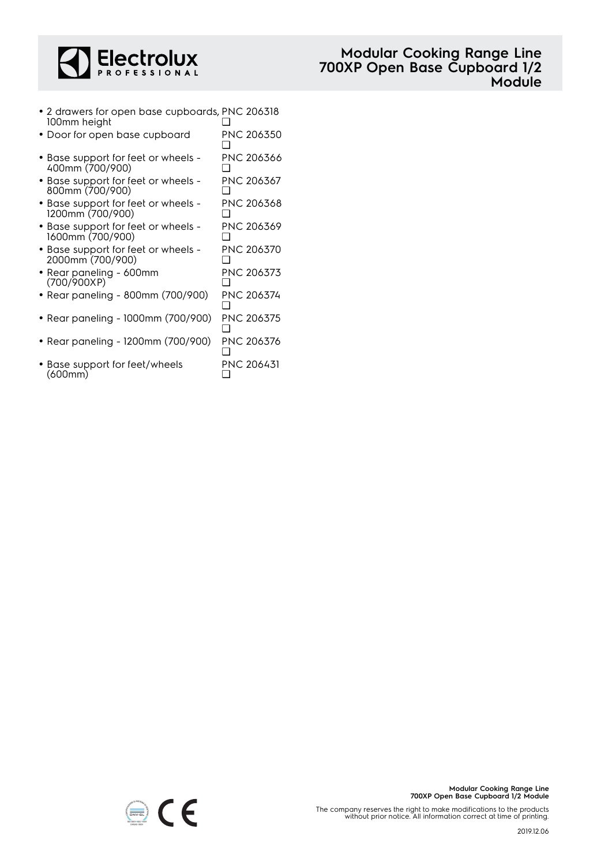

• 2 drawers for open base cupboards, PNC 206318 100mm height ❑

| 100mm height                                            |                   |
|---------------------------------------------------------|-------------------|
| • Door for open base cupboard                           | PNC 206350        |
| • Base support for feet or wheels -<br>400mm (700/900)  | PNC 206366        |
| • Base support for feet or wheels -<br>800mm (700/900)  | PNC 206367        |
| • Base support for feet or wheels -<br>1200mm (700/900) | <b>PNC 206368</b> |
| • Base support for feet or wheels -<br>1600mm (700/900) | <b>PNC 206369</b> |
| • Base support for feet or wheels -<br>2000mm (700/900) | PNC 206370        |
| • Rear paneling - 600mm                                 | PNC 206373        |

- (700/900XP) ❑ • Rear paneling - 800mm (700/900) PNC 206374
- ❑ • Rear paneling - 1000mm (700/900) PNC 206375
- ❑ • Rear paneling - 1200mm (700/900) PNC 206376
- ❑ • Base support for feet/wheels (600mm) PNC 206431 ❑